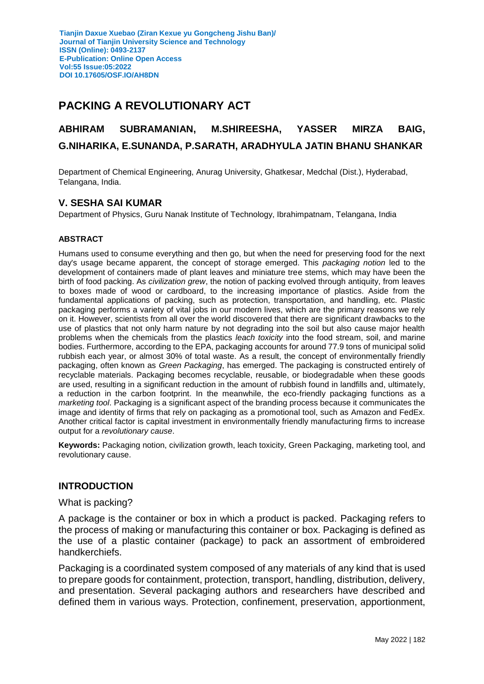# **PACKING A REVOLUTIONARY ACT**

# **ABHIRAM SUBRAMANIAN, M.SHIREESHA, YASSER MIRZA BAIG, G.NIHARIKA, E.SUNANDA, P.SARATH, ARADHYULA JATIN BHANU SHANKAR**

Department of Chemical Engineering, Anurag University, Ghatkesar, Medchal (Dist.), Hyderabad, Telangana, India.

# **V. SESHA SAI KUMAR**

Department of Physics, Guru Nanak Institute of Technology, Ibrahimpatnam, Telangana, India

#### **ABSTRACT**

Humans used to consume everything and then go, but when the need for preserving food for the next day's usage became apparent, the concept of storage emerged. This *packaging notion* led to the development of containers made of plant leaves and miniature tree stems, which may have been the birth of food packing. As *civilization grew*, the notion of packing evolved through antiquity, from leaves to boxes made of wood or cardboard, to the increasing importance of plastics. Aside from the fundamental applications of packing, such as protection, transportation, and handling, etc. Plastic packaging performs a variety of vital jobs in our modern lives, which are the primary reasons we rely on it. However, scientists from all over the world discovered that there are significant drawbacks to the use of plastics that not only harm nature by not degrading into the soil but also cause major health problems when the chemicals from the plastics *leach toxicity* into the food stream, soil, and marine bodies. Furthermore, according to the EPA, packaging accounts for around 77.9 tons of municipal solid rubbish each year, or almost 30% of total waste. As a result, the concept of environmentally friendly packaging, often known as *Green Packaging*, has emerged. The packaging is constructed entirely of recyclable materials. Packaging becomes recyclable, reusable, or biodegradable when these goods are used, resulting in a significant reduction in the amount of rubbish found in landfills and, ultimately, a reduction in the carbon footprint. In the meanwhile, the eco-friendly packaging functions as a *marketing tool*. Packaging is a significant aspect of the branding process because it communicates the image and identity of firms that rely on packaging as a promotional tool, such as Amazon and FedEx. Another critical factor is capital investment in environmentally friendly manufacturing firms to increase output for a *revolutionary cause*.

**Keywords:** Packaging notion, civilization growth, leach toxicity, Green Packaging, marketing tool, and revolutionary cause.

# **INTRODUCTION**

#### What is packing?

A package is the container or box in which a product is packed. Packaging refers to the process of making or manufacturing this container or box. Packaging is defined as the use of a plastic container (package) to pack an assortment of embroidered handkerchiefs.

Packaging is a coordinated system composed of any materials of any kind that is used to prepare goods for containment, protection, transport, handling, distribution, delivery, and presentation. Several packaging authors and researchers have described and defined them in various ways. Protection, confinement, preservation, apportionment,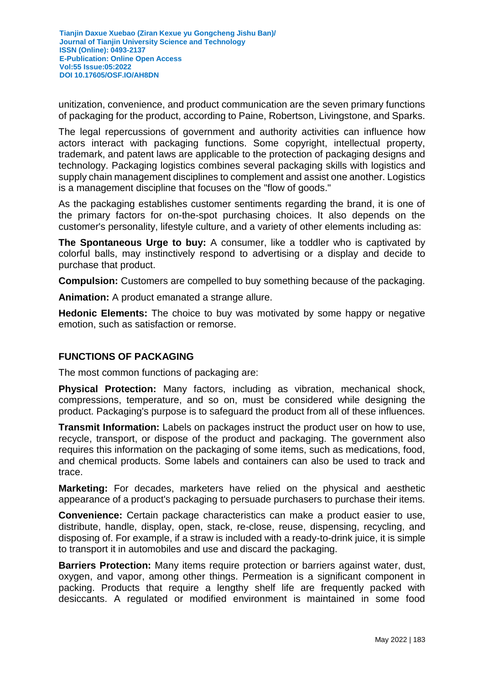unitization, convenience, and product communication are the seven primary functions of packaging for the product, according to Paine, Robertson, Livingstone, and Sparks.

The legal repercussions of government and authority activities can influence how actors interact with packaging functions. Some copyright, intellectual property, trademark, and patent laws are applicable to the protection of packaging designs and technology. Packaging logistics combines several packaging skills with logistics and supply chain management disciplines to complement and assist one another. Logistics is a management discipline that focuses on the "flow of goods."

As the packaging establishes customer sentiments regarding the brand, it is one of the primary factors for on-the-spot purchasing choices. It also depends on the customer's personality, lifestyle culture, and a variety of other elements including as:

**The Spontaneous Urge to buy:** A consumer, like a toddler who is captivated by colorful balls, may instinctively respond to advertising or a display and decide to purchase that product.

**Compulsion:** Customers are compelled to buy something because of the packaging.

**Animation:** A product emanated a strange allure.

**Hedonic Elements:** The choice to buy was motivated by some happy or negative emotion, such as satisfaction or remorse.

# **FUNCTIONS OF PACKAGING**

The most common functions of packaging are:

**Physical Protection:** Many factors, including as vibration, mechanical shock, compressions, temperature, and so on, must be considered while designing the product. Packaging's purpose is to safeguard the product from all of these influences.

**Transmit Information:** Labels on packages instruct the product user on how to use, recycle, transport, or dispose of the product and packaging. The government also requires this information on the packaging of some items, such as medications, food, and chemical products. Some labels and containers can also be used to track and trace.

**Marketing:** For decades, marketers have relied on the physical and aesthetic appearance of a product's packaging to persuade purchasers to purchase their items.

**Convenience:** Certain package characteristics can make a product easier to use, distribute, handle, display, open, stack, re-close, reuse, dispensing, recycling, and disposing of. For example, if a straw is included with a ready-to-drink juice, it is simple to transport it in automobiles and use and discard the packaging.

**Barriers Protection:** Many items require protection or barriers against water, dust, oxygen, and vapor, among other things. Permeation is a significant component in packing. Products that require a lengthy shelf life are frequently packed with desiccants. A regulated or modified environment is maintained in some food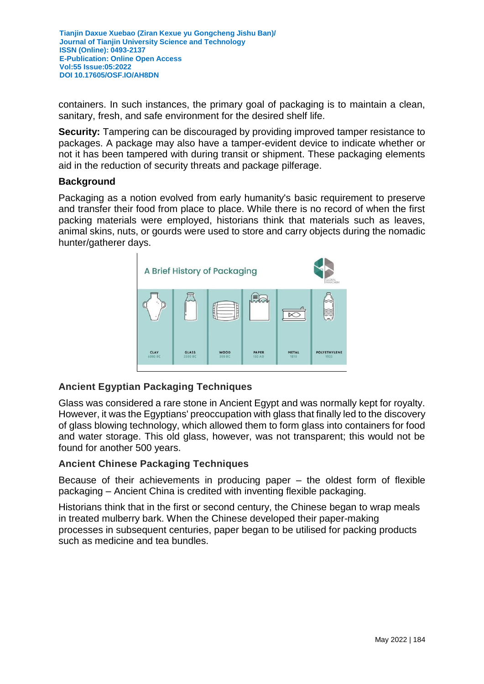containers. In such instances, the primary goal of packaging is to maintain a clean, sanitary, fresh, and safe environment for the desired shelf life.

**Security:** Tampering can be discouraged by providing improved tamper resistance to packages. A package may also have a tamper-evident device to indicate whether or not it has been tampered with during transit or shipment. These packaging elements aid in the reduction of security threats and package pilferage.

## **Background**

Packaging as a notion evolved from early humanity's basic requirement to preserve and transfer their food from place to place. While there is no record of when the first packing materials were employed, historians think that materials such as leaves, animal skins, nuts, or gourds were used to store and carry objects during the nomadic hunter/gatherer days.



# **Ancient Egyptian Packaging Techniques**

Glass was considered a rare stone in Ancient Egypt and was normally kept for royalty. However, it was the Egyptians' preoccupation with glass that finally led to the discovery of glass blowing technology, which allowed them to form glass into containers for food and water storage. This old glass, however, was not transparent; this would not be found for another 500 years.

# **Ancient Chinese Packaging Techniques**

Because of their achievements in producing paper – the oldest form of flexible packaging – Ancient China is credited with inventing flexible packaging.

Historians think that in the first or second century, the Chinese began to wrap meals in treated mulberry bark. When the Chinese developed their paper-making processes in subsequent centuries, paper began to be utilised for packing products such as medicine and tea bundles.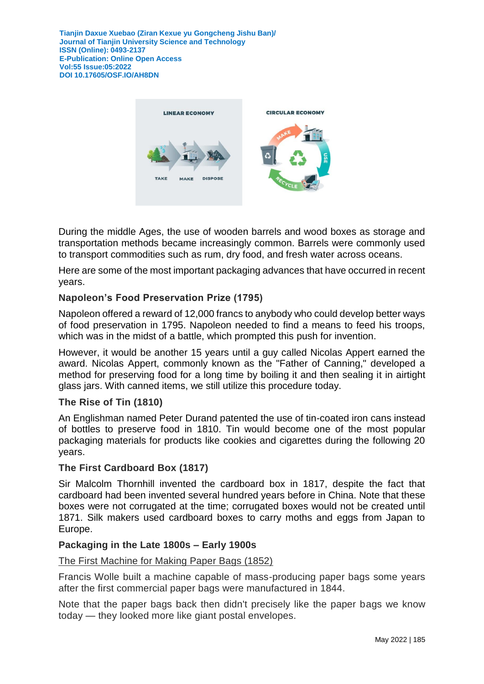

During the middle Ages, the use of wooden barrels and wood boxes as storage and transportation methods became increasingly common. Barrels were commonly used to transport commodities such as rum, dry food, and fresh water across oceans.

Here are some of the most important packaging advances that have occurred in recent years.

# **Napoleon's Food Preservation Prize (1795)**

Napoleon offered a reward of 12,000 francs to anybody who could develop better ways of food preservation in 1795. Napoleon needed to find a means to feed his troops, which was in the midst of a battle, which prompted this push for invention.

However, it would be another 15 years until a guy called Nicolas Appert earned the award. Nicolas Appert, commonly known as the "Father of Canning," developed a method for preserving food for a long time by boiling it and then sealing it in airtight glass jars. With canned items, we still utilize this procedure today.

## **The Rise of Tin (1810)**

An Englishman named Peter Durand patented the use of tin-coated iron cans instead of bottles to preserve food in 1810. Tin would become one of the most popular packaging materials for products like cookies and cigarettes during the following 20 years.

# **The First Cardboard Box (1817)**

Sir Malcolm Thornhill invented the cardboard box in 1817, despite the fact that cardboard had been invented several hundred years before in China. Note that these boxes were not corrugated at the time; corrugated boxes would not be created until 1871. Silk makers used cardboard boxes to carry moths and eggs from Japan to Europe.

## **Packaging in the Late 1800s – Early 1900s**

The First Machine for Making Paper Bags (1852)

Francis Wolle built a machine capable of mass-producing paper bags some years after the first commercial paper bags were manufactured in 1844.

Note that the paper bags back then didn't precisely like the paper bags we know today — they looked more like giant postal envelopes.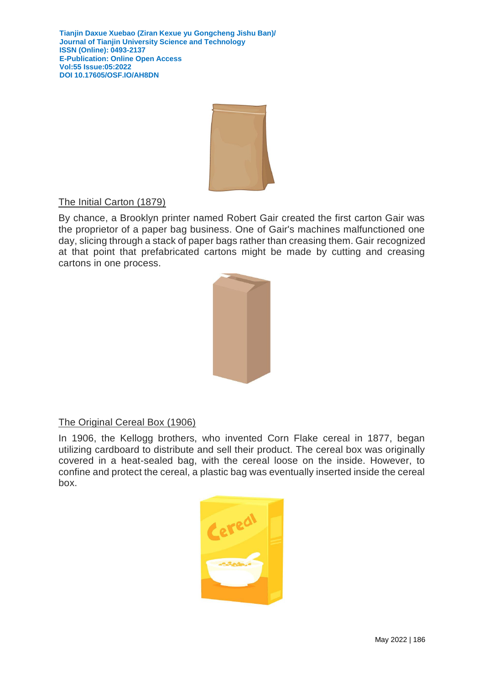

# The Initial Carton (1879)

By chance, a Brooklyn printer named Robert Gair created the first carton Gair was the proprietor of a paper bag business. One of Gair's machines malfunctioned one day, slicing through a stack of paper bags rather than creasing them. Gair recognized at that point that prefabricated cartons might be made by cutting and creasing cartons in one process.



# The Original Cereal Box (1906)

In 1906, the Kellogg brothers, who invented Corn Flake cereal in 1877, began utilizing cardboard to distribute and sell their product. The cereal box was originally covered in a heat-sealed bag, with the cereal loose on the inside. However, to confine and protect the cereal, a plastic bag was eventually inserted inside the cereal box.

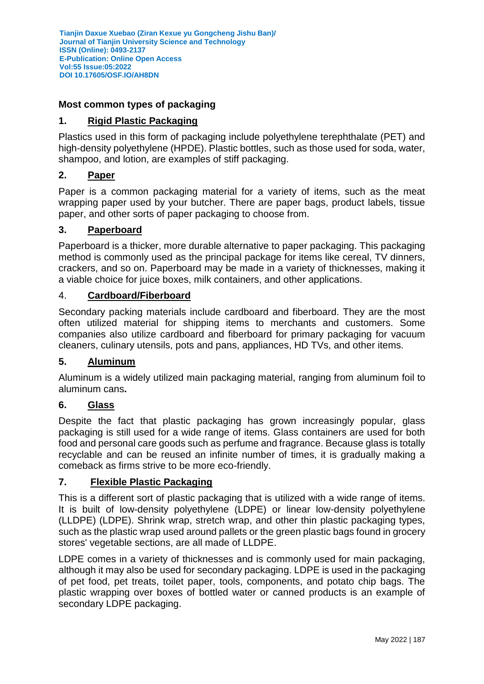## **Most common types of packaging**

## **1. Rigid Plastic Packaging**

Plastics used in this form of packaging include polyethylene terephthalate (PET) and high-density polyethylene (HPDE). Plastic bottles, such as those used for soda, water, shampoo, and lotion, are examples of stiff packaging.

# **2. Paper**

Paper is a common packaging material for a variety of items, such as the meat wrapping paper used by your butcher. There are paper bags, product labels, tissue paper, and other sorts of paper packaging to choose from.

# **3. Paperboard**

Paperboard is a thicker, more durable alternative to paper packaging. This packaging method is commonly used as the principal package for items like cereal, TV dinners, crackers, and so on. Paperboard may be made in a variety of thicknesses, making it a viable choice for juice boxes, milk containers, and other applications.

## 4. **Cardboard/Fiberboard**

Secondary packing materials include cardboard and fiberboard. They are the most often utilized material for shipping items to merchants and customers. Some companies also utilize cardboard and fiberboard for primary packaging for vacuum cleaners, culinary utensils, pots and pans, appliances, HD TVs, and other items.

## **5. Aluminum**

Aluminum is a widely utilized main packaging material, ranging from aluminum foil to aluminum cans**.**

# **6. Glass**

Despite the fact that plastic packaging has grown increasingly popular, glass packaging is still used for a wide range of items. Glass containers are used for both food and personal care goods such as perfume and fragrance. Because glass is totally recyclable and can be reused an infinite number of times, it is gradually making a comeback as firms strive to be more eco-friendly.

## **7. Flexible Plastic Packaging**

This is a different sort of plastic packaging that is utilized with a wide range of items. It is built of low-density polyethylene (LDPE) or linear low-density polyethylene (LLDPE) (LDPE). Shrink wrap, stretch wrap, and other thin plastic packaging types, such as the plastic wrap used around pallets or the green plastic bags found in grocery stores' vegetable sections, are all made of LLDPE.

LDPE comes in a variety of thicknesses and is commonly used for main packaging, although it may also be used for secondary packaging. LDPE is used in the packaging of pet food, pet treats, toilet paper, tools, components, and potato chip bags. The plastic wrapping over boxes of bottled water or canned products is an example of secondary LDPE packaging.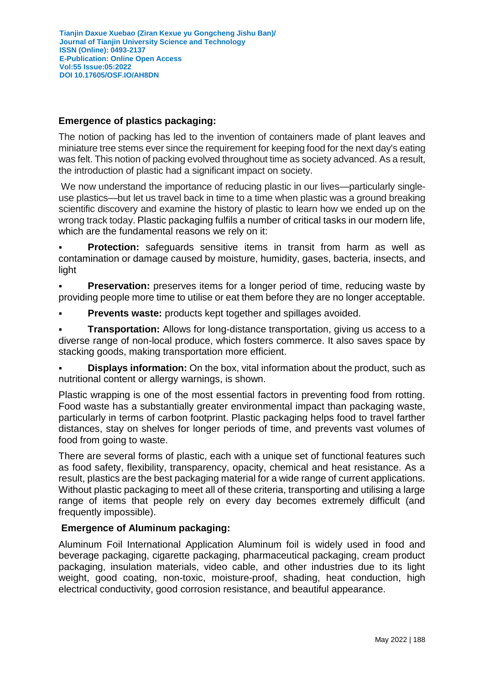# **Emergence of plastics packaging:**

The notion of packing has led to the invention of containers made of plant leaves and miniature tree stems ever since the requirement for keeping food for the next day's eating was felt. This notion of packing evolved throughout time as society advanced. As a result, the introduction of plastic had a significant impact on society.

We now understand the importance of reducing plastic in our lives—particularly singleuse plastics—but let us travel back in time to a time when plastic was a ground breaking scientific discovery and examine the history of plastic to learn how we ended up on the wrong track today. Plastic packaging fulfils a number of critical tasks in our modern life, which are the fundamental reasons we rely on it:

 **Protection:** safeguards sensitive items in transit from harm as well as contamination or damage caused by moisture, humidity, gases, bacteria, insects, and light

 **Preservation:** preserves items for a longer period of time, reducing waste by providing people more time to utilise or eat them before they are no longer acceptable.

**Prevents waste:** products kept together and spillages avoided.

 **Transportation:** Allows for long-distance transportation, giving us access to a diverse range of non-local produce, which fosters commerce. It also saves space by stacking goods, making transportation more efficient.

 **Displays information:** On the box, vital information about the product, such as nutritional content or allergy warnings, is shown.

Plastic wrapping is one of the most essential factors in preventing food from rotting. Food waste has a substantially greater environmental impact than packaging waste, particularly in terms of carbon footprint. Plastic packaging helps food to travel farther distances, stay on shelves for longer periods of time, and prevents vast volumes of food from going to waste.

There are several forms of plastic, each with a unique set of functional features such as food safety, flexibility, transparency, opacity, chemical and heat resistance. As a result, plastics are the best packaging material for a wide range of current applications. Without plastic packaging to meet all of these criteria, transporting and utilising a large range of items that people rely on every day becomes extremely difficult (and frequently impossible).

# **Emergence of Aluminum packaging:**

Aluminum Foil International Application Aluminum foil is widely used in food and beverage packaging, cigarette packaging, pharmaceutical packaging, cream product packaging, insulation materials, video cable, and other industries due to its light weight, good coating, non-toxic, moisture-proof, shading, heat conduction, high electrical conductivity, good corrosion resistance, and beautiful appearance.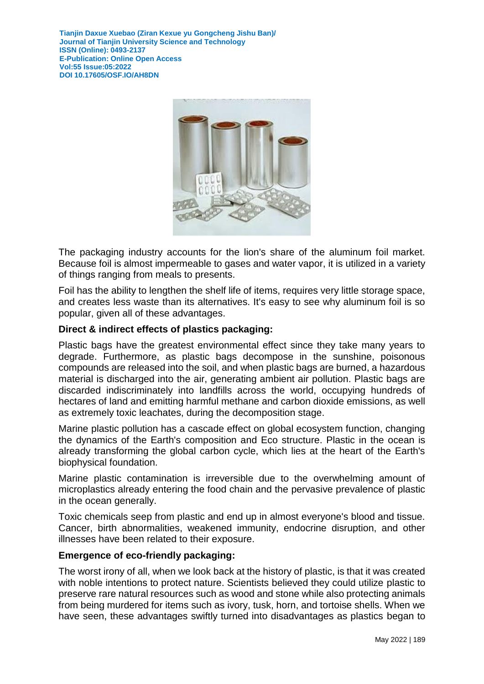

The packaging industry accounts for the lion's share of the aluminum foil market. Because foil is almost impermeable to gases and water vapor, it is utilized in a variety of things ranging from meals to presents.

Foil has the ability to lengthen the shelf life of items, requires very little storage space, and creates less waste than its alternatives. It's easy to see why aluminum foil is so popular, given all of these advantages.

# **Direct & indirect effects of plastics packaging:**

Plastic bags have the greatest environmental effect since they take many years to degrade. Furthermore, as plastic bags decompose in the sunshine, poisonous compounds are released into the soil, and when plastic bags are burned, a hazardous material is discharged into the air, generating ambient air pollution. Plastic bags are discarded indiscriminately into landfills across the world, occupying hundreds of hectares of land and emitting harmful methane and carbon dioxide emissions, as well as extremely toxic leachates, during the decomposition stage.

Marine plastic pollution has a cascade effect on global ecosystem function, changing the dynamics of the Earth's composition and Eco structure. Plastic in the ocean is already transforming the global carbon cycle, which lies at the heart of the Earth's biophysical foundation.

Marine plastic contamination is irreversible due to the overwhelming amount of microplastics already entering the food chain and the pervasive prevalence of plastic in the ocean generally.

Toxic chemicals seep from plastic and end up in almost everyone's blood and tissue. Cancer, birth abnormalities, weakened immunity, endocrine disruption, and other illnesses have been related to their exposure.

## **Emergence of eco-friendly packaging:**

The worst irony of all, when we look back at the history of plastic, is that it was created with noble intentions to protect nature. Scientists believed they could utilize plastic to preserve rare natural resources such as wood and stone while also protecting animals from being murdered for items such as ivory, tusk, horn, and tortoise shells. When we have seen, these advantages swiftly turned into disadvantages as plastics began to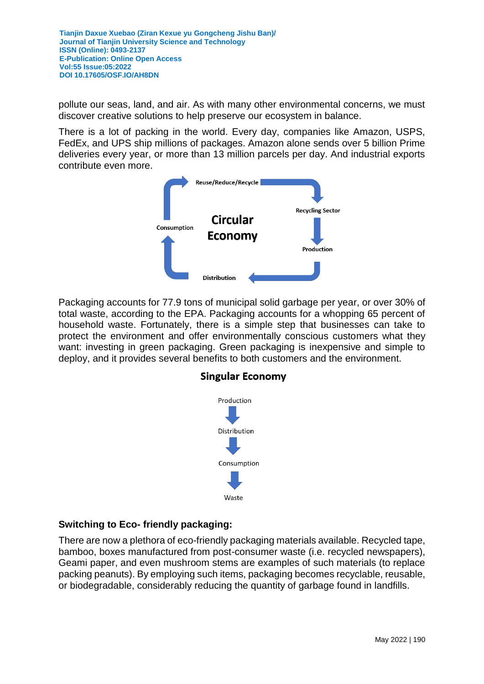pollute our seas, land, and air. As with many other environmental concerns, we must discover creative solutions to help preserve our ecosystem in balance.

There is a lot of packing in the world. Every day, companies like Amazon, USPS, FedEx, and UPS ship millions of packages. Amazon alone sends over 5 billion Prime deliveries every year, or more than 13 million parcels per day. And industrial exports contribute even more.



Packaging accounts for 77.9 tons of municipal solid garbage per year, or over 30% of total waste, according to the EPA. Packaging accounts for a whopping 65 percent of household waste. Fortunately, there is a simple step that businesses can take to protect the environment and offer environmentally conscious customers what they want: investing in green packaging. Green packaging is inexpensive and simple to deploy, and it provides several benefits to both customers and the environment.

# **Singular Economy**



# **Switching to Eco- friendly packaging:**

There are now a plethora of eco-friendly packaging materials available. Recycled tape, bamboo, boxes manufactured from post-consumer waste (i.e. recycled newspapers), Geami paper, and even mushroom stems are examples of such materials (to replace packing peanuts). By employing such items, packaging becomes recyclable, reusable, or biodegradable, considerably reducing the quantity of garbage found in landfills.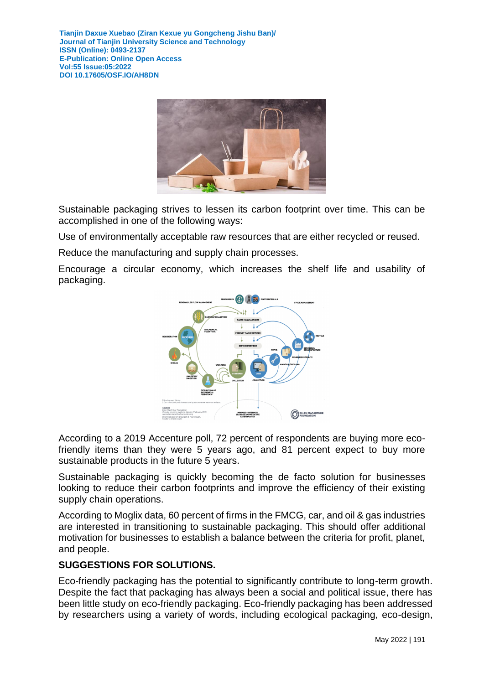

Sustainable packaging strives to lessen its carbon footprint over time. This can be accomplished in one of the following ways:

Use of environmentally acceptable raw resources that are either recycled or reused.

Reduce the manufacturing and supply chain processes.

Encourage a circular economy, which increases the shelf life and usability of packaging.



According to a 2019 Accenture poll, 72 percent of respondents are buying more ecofriendly items than they were 5 years ago, and 81 percent expect to buy more sustainable products in the future 5 years.

Sustainable packaging is quickly becoming the de facto solution for businesses looking to reduce their carbon footprints and improve the efficiency of their existing supply chain operations.

According to Moglix data, 60 percent of firms in the FMCG, car, and oil & gas industries are interested in transitioning to sustainable packaging. This should offer additional motivation for businesses to establish a balance between the criteria for profit, planet, and people.

# **SUGGESTIONS FOR SOLUTIONS.**

Eco-friendly packaging has the potential to significantly contribute to long-term growth. Despite the fact that packaging has always been a social and political issue, there has been little study on eco-friendly packaging. Eco-friendly packaging has been addressed by researchers using a variety of words, including ecological packaging, eco-design,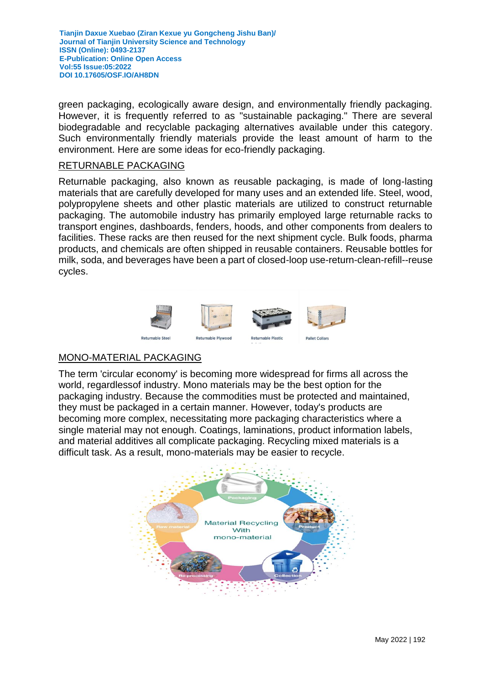green packaging, ecologically aware design, and environmentally friendly packaging. However, it is frequently referred to as "sustainable packaging." There are several biodegradable and recyclable packaging alternatives available under this category. Such environmentally friendly materials provide the least amount of harm to the environment. Here are some ideas for eco-friendly packaging.

#### RETURNABLE PACKAGING

Returnable packaging, also known as reusable packaging, is made of long-lasting materials that are carefully developed for many uses and an extended life. Steel, wood, polypropylene sheets and other plastic materials are utilized to construct returnable packaging. The automobile industry has primarily employed large returnable racks to transport engines, dashboards, fenders, hoods, and other components from dealers to facilities. These racks are then reused for the next shipment cycle. Bulk foods, pharma products, and chemicals are often shipped in reusable containers. Reusable bottles for milk, soda, and beverages have been a part of closed-loop use-return-clean-refill--reuse cycles.



## MONO-MATERIAL PACKAGING

The term 'circular economy' is becoming more widespread for firms all across the world, regardlessof industry. Mono materials may be the best option for the packaging industry. Because the commodities must be protected and maintained, they must be packaged in a certain manner. However, today's products are becoming more complex, necessitating more packaging characteristics where a single material may not enough. Coatings, laminations, product information labels, and material additives all complicate packaging. Recycling mixed materials is a difficult task. As a result, mono-materials may be easier to recycle.

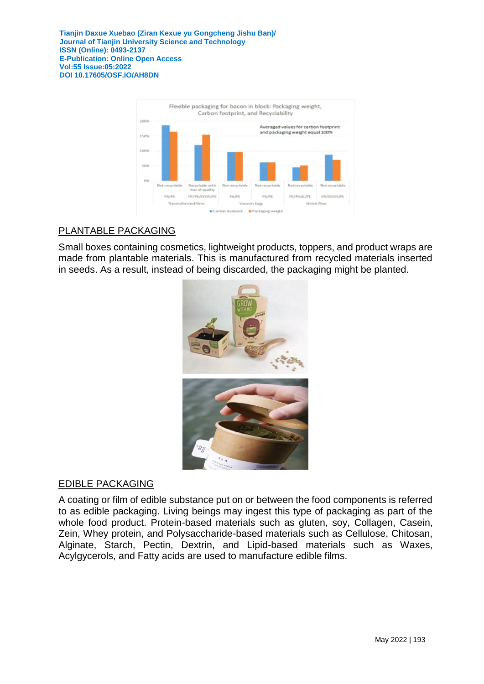

# PLANTABLE PACKAGING

Small boxes containing cosmetics, lightweight products, toppers, and product wraps are made from plantable materials. This is manufactured from recycled materials inserted in seeds. As a result, instead of being discarded, the packaging might be planted.



## EDIBLE PACKAGING

A coating or film of edible substance put on or between the food components is referred to as edible packaging. Living beings may ingest this type of packaging as part of the whole food product. Protein-based materials such as gluten, soy, Collagen, Casein, Zein, Whey protein, and Polysaccharide-based materials such as Cellulose, Chitosan, Alginate, Starch, Pectin, Dextrin, and Lipid-based materials such as Waxes, Acylgycerols, and Fatty acids are used to manufacture edible films.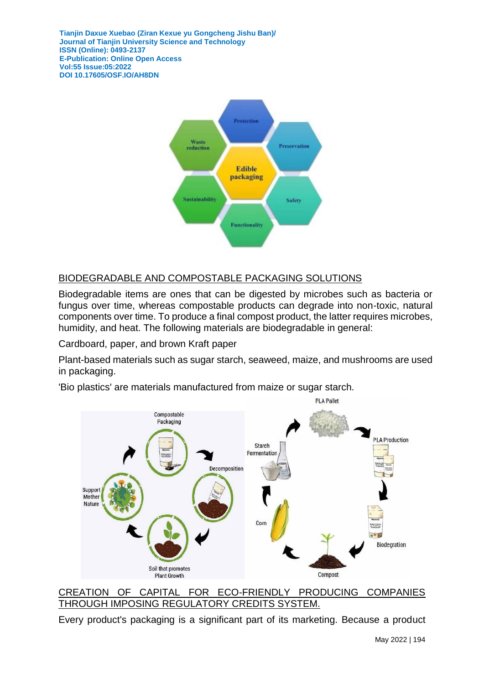

# BIODEGRADABLE AND COMPOSTABLE PACKAGING SOLUTIONS

Biodegradable items are ones that can be digested by microbes such as bacteria or fungus over time, whereas compostable products can degrade into non-toxic, natural components over time. To produce a final compost product, the latter requires microbes, humidity, and heat. The following materials are biodegradable in general:

Cardboard, paper, and brown Kraft paper

Plant-based materials such as sugar starch, seaweed, maize, and mushrooms are used in packaging.

'Bio plastics' are materials manufactured from maize or sugar starch.



CREATION OF CAPITAL FOR ECO-FRIENDLY PRODUCING COMPANIES THROUGH IMPOSING REGULATORY CREDITS SYSTEM.

Every product's packaging is a significant part of its marketing. Because a product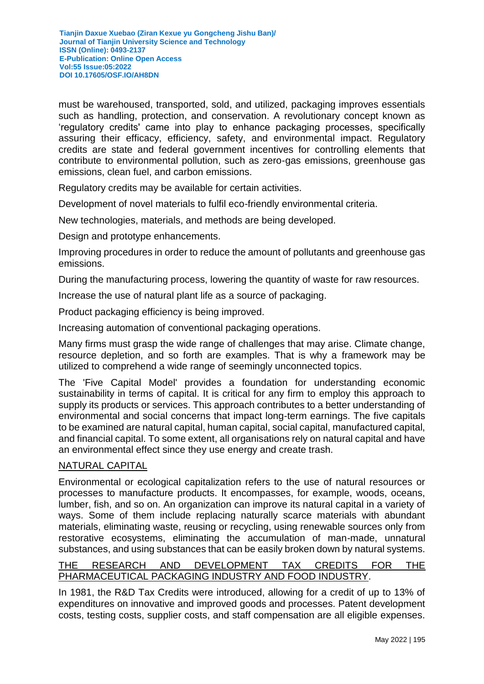must be warehoused, transported, sold, and utilized, packaging improves essentials such as handling, protection, and conservation. A revolutionary concept known as 'regulatory credits' came into play to enhance packaging processes, specifically assuring their efficacy, efficiency, safety, and environmental impact. Regulatory credits are state and federal government incentives for controlling elements that contribute to environmental pollution, such as zero-gas emissions, greenhouse gas emissions, clean fuel, and carbon emissions.

Regulatory credits may be available for certain activities.

Development of novel materials to fulfil eco-friendly environmental criteria.

New technologies, materials, and methods are being developed.

Design and prototype enhancements.

Improving procedures in order to reduce the amount of pollutants and greenhouse gas emissions.

During the manufacturing process, lowering the quantity of waste for raw resources.

Increase the use of natural plant life as a source of packaging.

Product packaging efficiency is being improved.

Increasing automation of conventional packaging operations.

Many firms must grasp the wide range of challenges that may arise. Climate change, resource depletion, and so forth are examples. That is why a framework may be utilized to comprehend a wide range of seemingly unconnected topics.

The 'Five Capital Model' provides a foundation for understanding economic sustainability in terms of capital. It is critical for any firm to employ this approach to supply its products or services. This approach contributes to a better understanding of environmental and social concerns that impact long-term earnings. The five capitals to be examined are natural capital, human capital, social capital, manufactured capital, and financial capital. To some extent, all organisations rely on natural capital and have an environmental effect since they use energy and create trash.

# NATURAL CAPITAL

Environmental or ecological capitalization refers to the use of natural resources or processes to manufacture products. It encompasses, for example, woods, oceans, lumber, fish, and so on. An organization can improve its natural capital in a variety of ways. Some of them include replacing naturally scarce materials with abundant materials, eliminating waste, reusing or recycling, using renewable sources only from restorative ecosystems, eliminating the accumulation of man-made, unnatural substances, and using substances that can be easily broken down by natural systems.

## THE RESEARCH AND DEVELOPMENT TAX CREDITS FOR THE PHARMACEUTICAL PACKAGING INDUSTRY AND FOOD INDUSTRY.

In 1981, the R&D Tax Credits were introduced, allowing for a credit of up to 13% of expenditures on innovative and improved goods and processes. Patent development costs, testing costs, supplier costs, and staff compensation are all eligible expenses.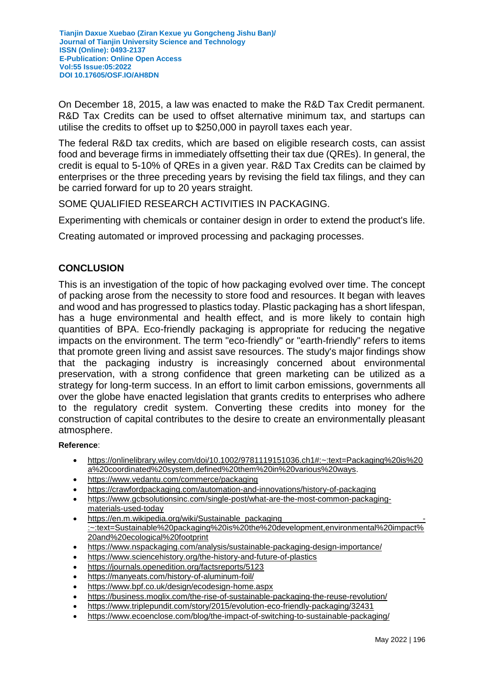On December 18, 2015, a law was enacted to make the R&D Tax Credit permanent. R&D Tax Credits can be used to offset alternative minimum tax, and startups can utilise the credits to offset up to \$250,000 in payroll taxes each year.

The federal R&D tax credits, which are based on eligible research costs, can assist food and beverage firms in immediately offsetting their tax due (QREs). In general, the credit is equal to 5-10% of QREs in a given year. R&D Tax Credits can be claimed by enterprises or the three preceding years by revising the field tax filings, and they can be carried forward for up to 20 years straight.

SOME QUALIFIED RESEARCH ACTIVITIES IN PACKAGING.

Experimenting with chemicals or container design in order to extend the product's life.

Creating automated or improved processing and packaging processes.

# **CONCLUSION**

This is an investigation of the topic of how packaging evolved over time. The concept of packing arose from the necessity to store food and resources. It began with leaves and wood and has progressed to plastics today. Plastic packaging has a short lifespan, has a huge environmental and health effect, and is more likely to contain high quantities of BPA. Eco-friendly packaging is appropriate for reducing the negative impacts on the environment. The term "eco-friendly" or "earth-friendly" refers to items that promote green living and assist save resources. The study's major findings show that the packaging industry is increasingly concerned about environmental preservation, with a strong confidence that green marketing can be utilized as a strategy for long-term success. In an effort to limit carbon emissions, governments all over the globe have enacted legislation that grants credits to enterprises who adhere to the regulatory credit system. Converting these credits into money for the construction of capital contributes to the desire to create an environmentally pleasant atmosphere.

#### **Reference**:

- [https://onlinelibrary.wiley.com/doi/10.1002/9781119151036.ch1#:~:text=Packaging%20is%20](https://onlinelibrary.wiley.com/doi/10.1002/9781119151036.ch1#:~:text=Packaging%20is%20a%20coordinated%20system,defined%20them%20in%20various%20ways) [a%20coordinated%20system,defined%20them%20in%20various%20ways.](https://onlinelibrary.wiley.com/doi/10.1002/9781119151036.ch1#:~:text=Packaging%20is%20a%20coordinated%20system,defined%20them%20in%20various%20ways)
- <https://www.vedantu.com/commerce/packaging>
- <https://crawfordpackaging.com/automation-and-innovations/history-of-packaging>
- [https://www.gcbsolutionsinc.com/single-post/what-are-the-most-common-packaging](https://www.gcbsolutionsinc.com/single-post/what-are-the-most-common-packaging-materials-used-today)[materials-used-today](https://www.gcbsolutionsinc.com/single-post/what-are-the-most-common-packaging-materials-used-today)
- https://en.m.wikipedia.org/wiki/Sustainable\_packaging [:~:text=Sustainable%20packaging%20is%20the%20development,environmental%20impact%](https://en.m.wikipedia.org/wiki/Sustainable_packaging#:~:text=Sustainable%20packaging%20is%20the%20development,environmental%20impact%20and%20ecological%20footprint) [20and%20ecological%20footprint](https://en.m.wikipedia.org/wiki/Sustainable_packaging#:~:text=Sustainable%20packaging%20is%20the%20development,environmental%20impact%20and%20ecological%20footprint)
- <https://www.nspackaging.com/analysis/sustainable-packaging-design-importance/>
- <https://www.sciencehistory.org/the-history-and-future-of-plastics>
- <https://journals.openedition.org/factsreports/5123>
- <https://manyeats.com/history-of-aluminum-foil/>
- <https://www.bpf.co.uk/design/ecodesign-home.aspx>
- <https://business.moglix.com/the-rise-of-sustainable-packaging-the-reuse-revolution/>
- <https://www.triplepundit.com/story/2015/evolution-eco-friendly-packaging/32431>
- <https://www.ecoenclose.com/blog/the-impact-of-switching-to-sustainable-packaging/>